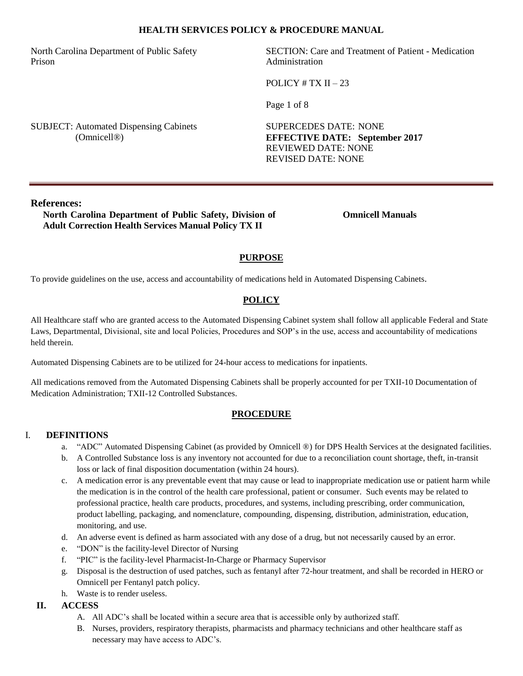North Carolina Department of Public Safety Prison

SECTION: Care and Treatment of Patient - Medication Administration

POLICY  $# TX II - 23$ 

Page 1 of 8

SUBJECT: Automated Dispensing Cabinets (Omnicell®)

SUPERCEDES DATE: NONE **EFFECTIVE DATE: September 2017** REVIEWED DATE: NONE REVISED DATE: NONE

# **References:**

**North Carolina Department of Public Safety, Division of Adult Correction Health Services Manual Policy TX II**

**Omnicell Manuals**

# **PURPOSE**

To provide guidelines on the use, access and accountability of medications held in Automated Dispensing Cabinets.

# **POLICY**

All Healthcare staff who are granted access to the Automated Dispensing Cabinet system shall follow all applicable Federal and State Laws, Departmental, Divisional, site and local Policies, Procedures and SOP's in the use, access and accountability of medications held therein.

Automated Dispensing Cabinets are to be utilized for 24-hour access to medications for inpatients.

All medications removed from the Automated Dispensing Cabinets shall be properly accounted for per TXII-10 Documentation of Medication Administration; TXII-12 Controlled Substances.

#### **PROCEDURE**

# I. **DEFINITIONS**

- a. "ADC" Automated Dispensing Cabinet (as provided by Omnicell ®) for DPS Health Services at the designated facilities.
- b. A Controlled Substance loss is any inventory not accounted for due to a reconciliation count shortage, theft, in-transit loss or lack of final disposition documentation (within 24 hours).
- c. A medication error is any preventable event that may cause or lead to inappropriate medication use or patient harm while the medication is in the control of the health care professional, patient or consumer. Such events may be related to professional practice, health care products, procedures, and systems, including prescribing, order communication, product labelling, packaging, and nomenclature, compounding, dispensing, distribution, administration, education, monitoring, and use.
- d. An adverse event is defined as harm associated with any dose of a drug, but not necessarily caused by an error.
- e. "DON" is the facility-level Director of Nursing
- f. "PIC" is the facility-level Pharmacist-In-Charge or Pharmacy Supervisor
- g. Disposal is the destruction of used patches, such as fentanyl after 72-hour treatment, and shall be recorded in HERO or Omnicell per Fentanyl patch policy.
- h. Waste is to render useless.

# **II. ACCESS**

- A. All ADC's shall be located within a secure area that is accessible only by authorized staff.
- B. Nurses, providers, respiratory therapists, pharmacists and pharmacy technicians and other healthcare staff as necessary may have access to ADC's.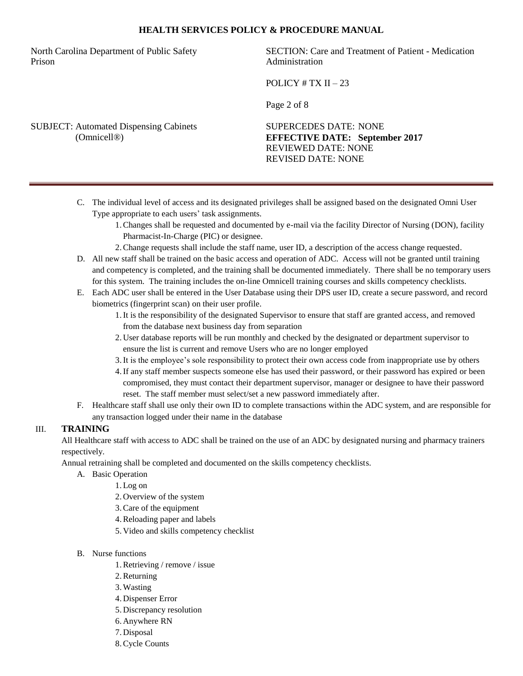North Carolina Department of Public Safety Prison

SECTION: Care and Treatment of Patient - Medication Administration

POLICY  $# TX II - 23$ 

Page 2 of 8

SUBJECT: Automated Dispensing Cabinets (Omnicell®)

SUPERCEDES DATE: NONE **EFFECTIVE DATE: September 2017** REVIEWED DATE: NONE REVISED DATE: NONE

- C. The individual level of access and its designated privileges shall be assigned based on the designated Omni User Type appropriate to each users' task assignments.
	- 1.Changes shall be requested and documented by e-mail via the facility Director of Nursing (DON), facility Pharmacist-In-Charge (PIC) or designee.
	- 2.Change requests shall include the staff name, user ID, a description of the access change requested.
- D. All new staff shall be trained on the basic access and operation of ADC. Access will not be granted until training and competency is completed, and the training shall be documented immediately. There shall be no temporary users for this system. The training includes the on-line Omnicell training courses and skills competency checklists.
- E. Each ADC user shall be entered in the User Database using their DPS user ID, create a secure password, and record biometrics (fingerprint scan) on their user profile.
	- 1.It is the responsibility of the designated Supervisor to ensure that staff are granted access, and removed from the database next business day from separation
	- 2. User database reports will be run monthly and checked by the designated or department supervisor to ensure the list is current and remove Users who are no longer employed
	- 3.It is the employee's sole responsibility to protect their own access code from inappropriate use by others
	- 4.If any staff member suspects someone else has used their password, or their password has expired or been compromised, they must contact their department supervisor, manager or designee to have their password reset. The staff member must select/set a new password immediately after.
- F. Healthcare staff shall use only their own ID to complete transactions within the ADC system, and are responsible for any transaction logged under their name in the database

# III. **TRAINING**

All Healthcare staff with access to ADC shall be trained on the use of an ADC by designated nursing and pharmacy trainers respectively.

Annual retraining shall be completed and documented on the skills competency checklists.

- A. Basic Operation
	- 1.Log on
	- 2. Overview of the system
	- 3.Care of the equipment
	- 4.Reloading paper and labels
	- 5. Video and skills competency checklist
- B. Nurse functions
	- 1.Retrieving / remove / issue
	- 2.Returning
	- 3.Wasting
	- 4. Dispenser Error
	- 5. Discrepancy resolution
	- 6. Anywhere RN
	- 7. Disposal
	- 8.Cycle Counts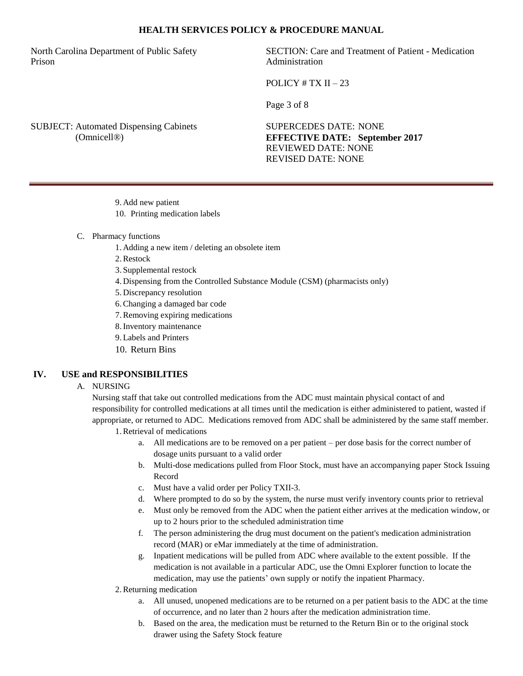North Carolina Department of Public Safety Prison

SECTION: Care and Treatment of Patient - Medication Administration

POLICY  $# TX II - 23$ 

Page 3 of 8

SUBJECT: Automated Dispensing Cabinets (Omnicell®)

SUPERCEDES DATE: NONE **EFFECTIVE DATE: September 2017** REVIEWED DATE: NONE REVISED DATE: NONE

- 9. Add new patient
- 10. Printing medication labels
- C. Pharmacy functions
	- 1. Adding a new item / deleting an obsolete item
	- 2.Restock
	- 3. Supplemental restock
	- 4. Dispensing from the Controlled Substance Module (CSM) (pharmacists only)
	- 5. Discrepancy resolution
	- 6.Changing a damaged bar code
	- 7.Removing expiring medications
	- 8.Inventory maintenance
	- 9.Labels and Printers
	- 10. Return Bins

# **IV. USE and RESPONSIBILITIES**

### A. NURSING

Nursing staff that take out controlled medications from the ADC must maintain physical contact of and responsibility for controlled medications at all times until the medication is either administered to patient, wasted if appropriate, or returned to ADC. Medications removed from ADC shall be administered by the same staff member. 1.Retrieval of medications

- a. All medications are to be removed on a per patient per dose basis for the correct number of dosage units pursuant to a valid order
- b. Multi-dose medications pulled from Floor Stock, must have an accompanying paper Stock Issuing Record
- c. Must have a valid order per Policy TXII-3.
- d. Where prompted to do so by the system, the nurse must verify inventory counts prior to retrieval
- e. Must only be removed from the ADC when the patient either arrives at the medication window, or up to 2 hours prior to the scheduled administration time
- f. The person administering the drug must document on the patient's medication administration record (MAR) or eMar immediately at the time of administration.
- g. Inpatient medications will be pulled from ADC where available to the extent possible. If the medication is not available in a particular ADC, use the Omni Explorer function to locate the medication, may use the patients' own supply or notify the inpatient Pharmacy.
- 2.Returning medication
	- a. All unused, unopened medications are to be returned on a per patient basis to the ADC at the time of occurrence, and no later than 2 hours after the medication administration time.
	- b. Based on the area, the medication must be returned to the Return Bin or to the original stock drawer using the Safety Stock feature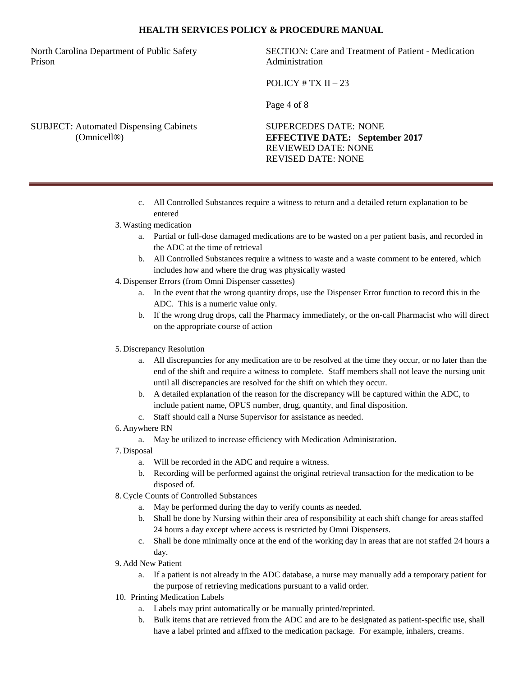North Carolina Department of Public Safety Prison

SECTION: Care and Treatment of Patient - Medication Administration

POLICY  $# TX II - 23$ 

Page 4 of 8

SUBJECT: Automated Dispensing Cabinets (Omnicell®)

SUPERCEDES DATE: NONE **EFFECTIVE DATE: September 2017** REVIEWED DATE: NONE REVISED DATE: NONE

- c. All Controlled Substances require a witness to return and a detailed return explanation to be entered
- 3.Wasting medication
	- a. Partial or full-dose damaged medications are to be wasted on a per patient basis, and recorded in the ADC at the time of retrieval
	- b. All Controlled Substances require a witness to waste and a waste comment to be entered, which includes how and where the drug was physically wasted
- 4. Dispenser Errors (from Omni Dispenser cassettes)
	- a. In the event that the wrong quantity drops, use the Dispenser Error function to record this in the ADC. This is a numeric value only.
	- b. If the wrong drug drops, call the Pharmacy immediately, or the on-call Pharmacist who will direct on the appropriate course of action

#### 5. Discrepancy Resolution

- a. All discrepancies for any medication are to be resolved at the time they occur, or no later than the end of the shift and require a witness to complete. Staff members shall not leave the nursing unit until all discrepancies are resolved for the shift on which they occur.
- b. A detailed explanation of the reason for the discrepancy will be captured within the ADC, to include patient name, OPUS number, drug, quantity, and final disposition.
- c. Staff should call a Nurse Supervisor for assistance as needed.
- 6. Anywhere RN
	- a. May be utilized to increase efficiency with Medication Administration.
- 7. Disposal
	- a. Will be recorded in the ADC and require a witness.
	- b. Recording will be performed against the original retrieval transaction for the medication to be disposed of.
- 8.Cycle Counts of Controlled Substances
	- a. May be performed during the day to verify counts as needed.
	- b. Shall be done by Nursing within their area of responsibility at each shift change for areas staffed 24 hours a day except where access is restricted by Omni Dispensers.
	- c. Shall be done minimally once at the end of the working day in areas that are not staffed 24 hours a day.
- 9. Add New Patient
	- a. If a patient is not already in the ADC database, a nurse may manually add a temporary patient for the purpose of retrieving medications pursuant to a valid order.
- 10. Printing Medication Labels
	- a. Labels may print automatically or be manually printed/reprinted.
	- b. Bulk items that are retrieved from the ADC and are to be designated as patient-specific use, shall have a label printed and affixed to the medication package. For example, inhalers, creams.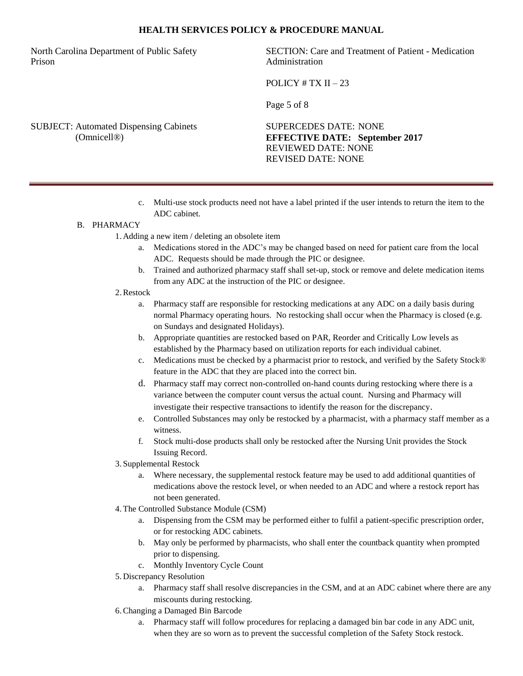North Carolina Department of Public Safety Prison

SECTION: Care and Treatment of Patient - Medication Administration

POLICY  $# TX II - 23$ 

Page 5 of 8

SUBJECT: Automated Dispensing Cabinets (Omnicell®)

SUPERCEDES DATE: NONE **EFFECTIVE DATE: September 2017** REVIEWED DATE: NONE REVISED DATE: NONE

c. Multi-use stock products need not have a label printed if the user intends to return the item to the ADC cabinet.

### B. PHARMACY

- 1. Adding a new item / deleting an obsolete item
	- a. Medications stored in the ADC's may be changed based on need for patient care from the local ADC. Requests should be made through the PIC or designee.
	- b. Trained and authorized pharmacy staff shall set-up, stock or remove and delete medication items from any ADC at the instruction of the PIC or designee.

#### 2.Restock

- a. Pharmacy staff are responsible for restocking medications at any ADC on a daily basis during normal Pharmacy operating hours. No restocking shall occur when the Pharmacy is closed (e.g. on Sundays and designated Holidays).
- b. Appropriate quantities are restocked based on PAR, Reorder and Critically Low levels as established by the Pharmacy based on utilization reports for each individual cabinet.
- c. Medications must be checked by a pharmacist prior to restock, and verified by the Safety Stock® feature in the ADC that they are placed into the correct bin.
- d. Pharmacy staff may correct non-controlled on-hand counts during restocking where there is a variance between the computer count versus the actual count. Nursing and Pharmacy will investigate their respective transactions to identify the reason for the discrepancy.
- e. Controlled Substances may only be restocked by a pharmacist, with a pharmacy staff member as a witness.
- f. Stock multi-dose products shall only be restocked after the Nursing Unit provides the Stock Issuing Record.
- 3. Supplemental Restock
	- a. Where necessary, the supplemental restock feature may be used to add additional quantities of medications above the restock level, or when needed to an ADC and where a restock report has not been generated.
- 4.The Controlled Substance Module (CSM)
	- a. Dispensing from the CSM may be performed either to fulfil a patient-specific prescription order, or for restocking ADC cabinets.
	- b. May only be performed by pharmacists, who shall enter the countback quantity when prompted prior to dispensing.
	- c. Monthly Inventory Cycle Count
- 5. Discrepancy Resolution
	- a. Pharmacy staff shall resolve discrepancies in the CSM, and at an ADC cabinet where there are any miscounts during restocking.
- 6.Changing a Damaged Bin Barcode
	- a. Pharmacy staff will follow procedures for replacing a damaged bin bar code in any ADC unit, when they are so worn as to prevent the successful completion of the Safety Stock restock.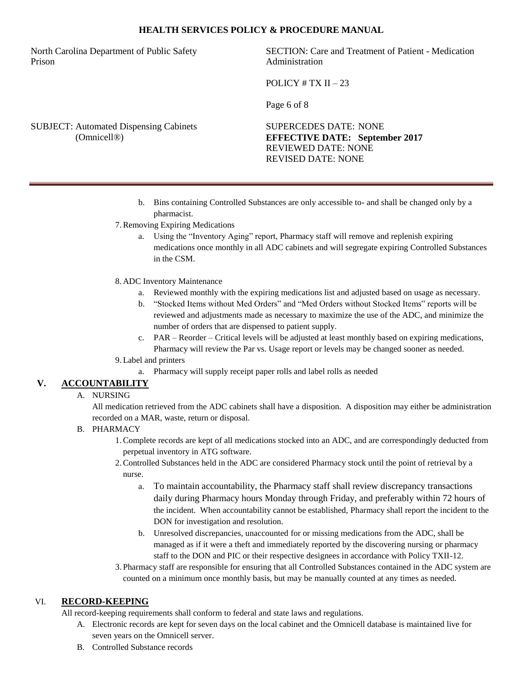North Carolina Department of Public Safety Prison

SECTION: Care and Treatment of Patient - Medication Administration

POLICY  $# TX II - 23$ 

Page 6 of 8

SUBJECT: Automated Dispensing Cabinets (Omnicell®)

SUPERCEDES DATE: NONE **EFFECTIVE DATE: September 2017** REVIEWED DATE: NONE REVISED DATE: NONE

- b. Bins containing Controlled Substances are only accessible to- and shall be changed only by a pharmacist.
- 7.Removing Expiring Medications
	- a. Using the "Inventory Aging" report, Pharmacy staff will remove and replenish expiring medications once monthly in all ADC cabinets and will segregate expiring Controlled Substances in the CSM.

#### 8. ADC Inventory Maintenance

- a. Reviewed monthly with the expiring medications list and adjusted based on usage as necessary.
- b. "Stocked Items without Med Orders" and "Med Orders without Stocked Items" reports will be reviewed and adjustments made as necessary to maximize the use of the ADC, and minimize the number of orders that are dispensed to patient supply.
- c. PAR Reorder Critical levels will be adjusted at least monthly based on expiring medications, Pharmacy will review the Par vs. Usage report or levels may be changed sooner as needed.

#### 9.Label and printers

a. Pharmacy will supply receipt paper rolls and label rolls as needed

# **V. ACCOUNTABILITY**

# A. NURSING

All medication retrieved from the ADC cabinets shall have a disposition. A disposition may either be administration recorded on a MAR, waste, return or disposal.

# B. PHARMACY

- 1.Complete records are kept of all medications stocked into an ADC, and are correspondingly deducted from perpetual inventory in ATG software.
- 2.Controlled Substances held in the ADC are considered Pharmacy stock until the point of retrieval by a nurse.
	- a. To maintain accountability, the Pharmacy staff shall review discrepancy transactions daily during Pharmacy hours Monday through Friday, and preferably within 72 hours of the incident. When accountability cannot be established, Pharmacy shall report the incident to the DON for investigation and resolution.
	- b. Unresolved discrepancies, unaccounted for or missing medications from the ADC, shall be managed as if it were a theft and immediately reported by the discovering nursing or pharmacy staff to the DON and PIC or their respective designees in accordance with Policy TXII-12.
- 3. Pharmacy staff are responsible for ensuring that all Controlled Substances contained in the ADC system are counted on a minimum once monthly basis, but may be manually counted at any times as needed.

# VI. **RECORD-KEEPING**

All record-keeping requirements shall conform to federal and state laws and regulations.

- A. Electronic records are kept for seven days on the local cabinet and the Omnicell database is maintained live for seven years on the Omnicell server.
- B. Controlled Substance records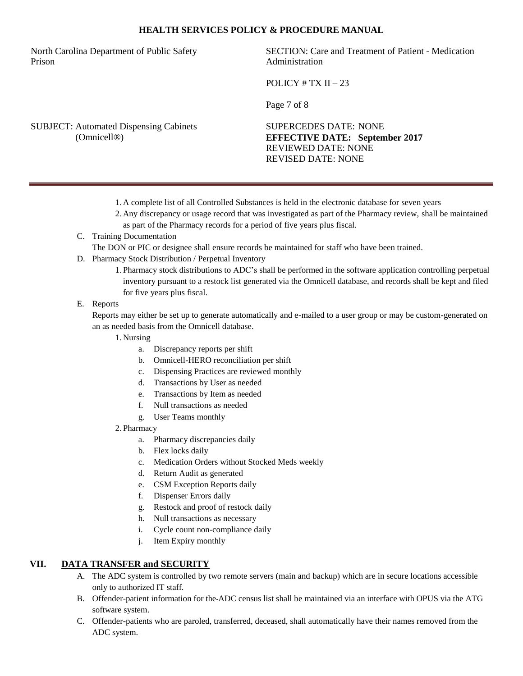North Carolina Department of Public Safety Prison

SECTION: Care and Treatment of Patient - Medication Administration

POLICY  $# TX II - 23$ 

Page 7 of 8

SUBJECT: Automated Dispensing Cabinets (Omnicell®)

SUPERCEDES DATE: NONE **EFFECTIVE DATE: September 2017** REVIEWED DATE: NONE REVISED DATE: NONE

- 1. A complete list of all Controlled Substances is held in the electronic database for seven years
- 2. Any discrepancy or usage record that was investigated as part of the Pharmacy review, shall be maintained as part of the Pharmacy records for a period of five years plus fiscal.
- C. Training Documentation

The DON or PIC or designee shall ensure records be maintained for staff who have been trained.

- D. Pharmacy Stock Distribution / Perpetual Inventory
	- 1. Pharmacy stock distributions to ADC's shall be performed in the software application controlling perpetual inventory pursuant to a restock list generated via the Omnicell database, and records shall be kept and filed for five years plus fiscal.

### E. Reports

Reports may either be set up to generate automatically and e-mailed to a user group or may be custom-generated on an as needed basis from the Omnicell database.

- 1. Nursing
	- a. Discrepancy reports per shift
	- b. Omnicell-HERO reconciliation per shift
	- c. Dispensing Practices are reviewed monthly
	- d. Transactions by User as needed
	- e. Transactions by Item as needed
	- f. Null transactions as needed
	- g. User Teams monthly
- 2. Pharmacy
	- a. Pharmacy discrepancies daily
	- b. Flex locks daily
	- c. Medication Orders without Stocked Meds weekly
	- d. Return Audit as generated
	- e. CSM Exception Reports daily
	- f. Dispenser Errors daily
	- g. Restock and proof of restock daily
	- h. Null transactions as necessary
	- i. Cycle count non-compliance daily
	- j. Item Expiry monthly

# **VII. DATA TRANSFER and SECURITY**

- A. The ADC system is controlled by two remote servers (main and backup) which are in secure locations accessible only to authorized IT staff.
- B. Offender-patient information for the ADC census list shall be maintained via an interface with OPUS via the ATG software system.
- C. Offender-patients who are paroled, transferred, deceased, shall automatically have their names removed from the ADC system.